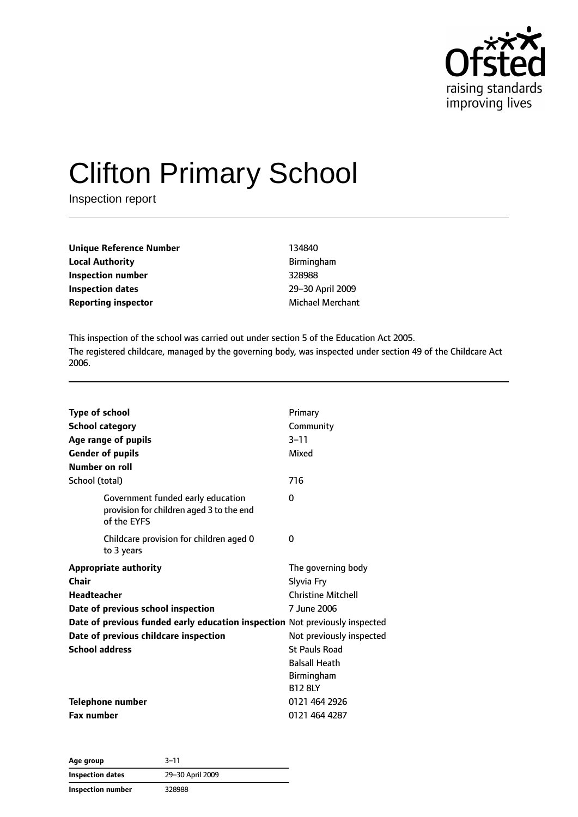

# Clifton Primary School

Inspection report

| Unique Reference Number    | 134840                  |
|----------------------------|-------------------------|
| Local Authority            | Birmingham              |
| Inspection number          | 328988                  |
| <b>Inspection dates</b>    | 29-30 April 2009        |
| <b>Reporting inspector</b> | <b>Michael Merchant</b> |
|                            |                         |

This inspection of the school was carried out under section 5 of the Education Act 2005. The registered childcare, managed by the governing body, was inspected under section 49 of the Childcare Act 2006.

| <b>Type of school</b><br><b>School category</b>                                              | Primary<br>Community      |
|----------------------------------------------------------------------------------------------|---------------------------|
| Age range of pupils                                                                          | $3 - 11$                  |
| <b>Gender of pupils</b>                                                                      | Mixed                     |
| Number on roll                                                                               |                           |
| School (total)                                                                               | 716                       |
| Government funded early education<br>provision for children aged 3 to the end<br>of the EYFS | 0                         |
| Childcare provision for children aged 0<br>to 3 years                                        | 0                         |
| <b>Appropriate authority</b>                                                                 | The governing body        |
| Chair                                                                                        | Slyvia Fry                |
| Headteacher                                                                                  | <b>Christine Mitchell</b> |
| Date of previous school inspection                                                           | 7 June 2006               |
| Date of previous funded early education inspection Not previously inspected                  |                           |
| Date of previous childcare inspection                                                        | Not previously inspected  |
| <b>School address</b>                                                                        | <b>St Pauls Road</b>      |
|                                                                                              | <b>Balsall Heath</b>      |
|                                                                                              | Birmingham                |
|                                                                                              | <b>B12 8LY</b>            |
| <b>Telephone number</b>                                                                      | 0121 464 2926             |
| <b>Fax number</b>                                                                            | 0121 464 4287             |

**Age group** 3–11 **Inspection dates** 29–30 April 2009 **Inspection number** 328988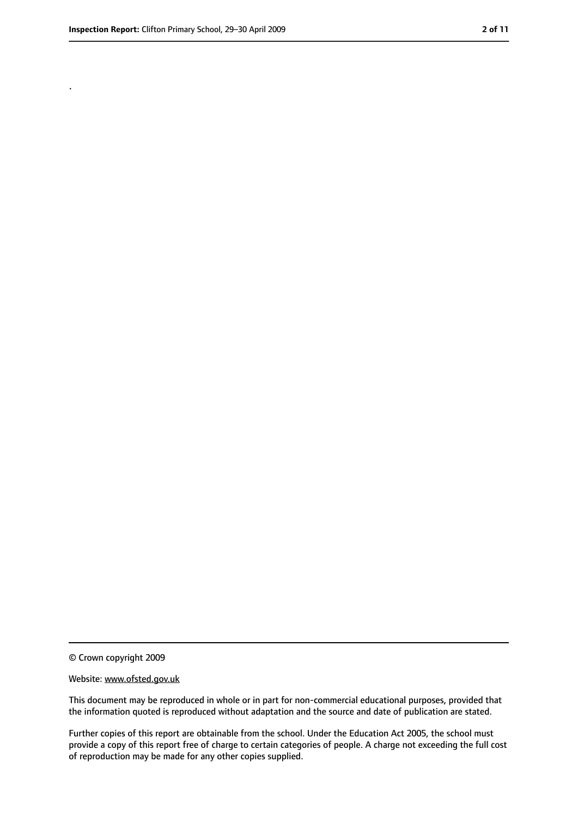.

<sup>©</sup> Crown copyright 2009

Website: www.ofsted.gov.uk

This document may be reproduced in whole or in part for non-commercial educational purposes, provided that the information quoted is reproduced without adaptation and the source and date of publication are stated.

Further copies of this report are obtainable from the school. Under the Education Act 2005, the school must provide a copy of this report free of charge to certain categories of people. A charge not exceeding the full cost of reproduction may be made for any other copies supplied.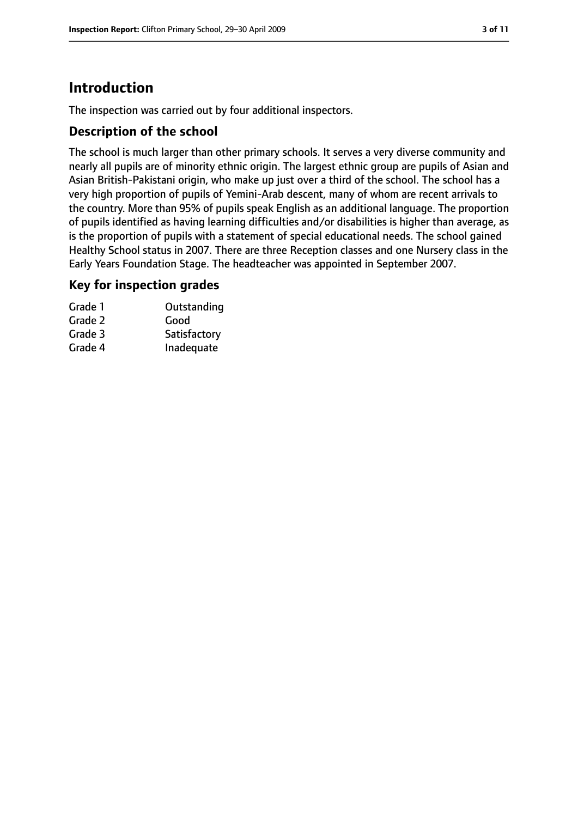# **Introduction**

The inspection was carried out by four additional inspectors.

## **Description of the school**

The school is much larger than other primary schools. It serves a very diverse community and nearly all pupils are of minority ethnic origin. The largest ethnic group are pupils of Asian and Asian British-Pakistani origin, who make up just over a third of the school. The school has a very high proportion of pupils of Yemini-Arab descent, many of whom are recent arrivals to the country. More than 95% of pupils speak English as an additional language. The proportion of pupils identified as having learning difficulties and/or disabilities is higher than average, as is the proportion of pupils with a statement of special educational needs. The school gained Healthy School status in 2007. There are three Reception classes and one Nursery class in the Early Years Foundation Stage. The headteacher was appointed in September 2007.

## **Key for inspection grades**

| Grade 1 | Outstanding  |
|---------|--------------|
| Grade 2 | Good         |
| Grade 3 | Satisfactory |
| Grade 4 | Inadequate   |
|         |              |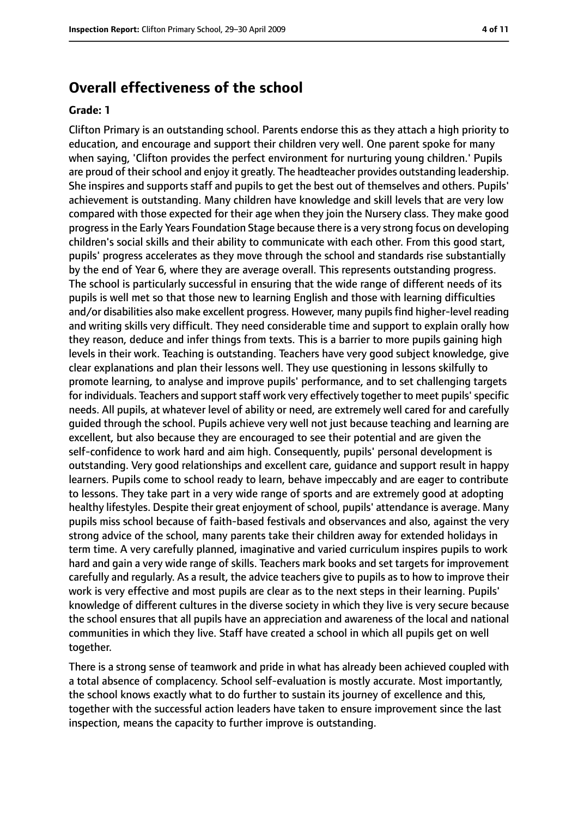# **Overall effectiveness of the school**

#### **Grade: 1**

Clifton Primary is an outstanding school. Parents endorse this as they attach a high priority to education, and encourage and support their children very well. One parent spoke for many when saying, 'Clifton provides the perfect environment for nurturing young children.' Pupils are proud of their school and enjoy it greatly. The headteacher provides outstanding leadership. She inspires and supports staff and pupils to get the best out of themselves and others. Pupils' achievement is outstanding. Many children have knowledge and skill levels that are very low compared with those expected for their age when they join the Nursery class. They make good progressin the Early Years Foundation Stage because there is a very strong focus on developing children's social skills and their ability to communicate with each other. From this good start, pupils' progress accelerates as they move through the school and standards rise substantially by the end of Year 6, where they are average overall. This represents outstanding progress. The school is particularly successful in ensuring that the wide range of different needs of its pupils is well met so that those new to learning English and those with learning difficulties and/or disabilities also make excellent progress. However, many pupils find higher-level reading and writing skills very difficult. They need considerable time and support to explain orally how they reason, deduce and infer things from texts. This is a barrier to more pupils gaining high levels in their work. Teaching is outstanding. Teachers have very good subject knowledge, give clear explanations and plan their lessons well. They use questioning in lessons skilfully to promote learning, to analyse and improve pupils' performance, and to set challenging targets for individuals. Teachers and support staff work very effectively together to meet pupils' specific needs. All pupils, at whatever level of ability or need, are extremely well cared for and carefully guided through the school. Pupils achieve very well not just because teaching and learning are excellent, but also because they are encouraged to see their potential and are given the self-confidence to work hard and aim high. Consequently, pupils' personal development is outstanding. Very good relationships and excellent care, guidance and support result in happy learners. Pupils come to school ready to learn, behave impeccably and are eager to contribute to lessons. They take part in a very wide range of sports and are extremely good at adopting healthy lifestyles. Despite their great enjoyment of school, pupils' attendance is average. Many pupils miss school because of faith-based festivals and observances and also, against the very strong advice of the school, many parents take their children away for extended holidays in term time. A very carefully planned, imaginative and varied curriculum inspires pupils to work hard and gain a very wide range of skills. Teachers mark books and set targets for improvement carefully and regularly. As a result, the advice teachers give to pupils as to how to improve their work is very effective and most pupils are clear as to the next steps in their learning. Pupils' knowledge of different cultures in the diverse society in which they live is very secure because the school ensures that all pupils have an appreciation and awareness of the local and national communities in which they live. Staff have created a school in which all pupils get on well together.

There is a strong sense of teamwork and pride in what has already been achieved coupled with a total absence of complacency. School self-evaluation is mostly accurate. Most importantly, the school knows exactly what to do further to sustain its journey of excellence and this, together with the successful action leaders have taken to ensure improvement since the last inspection, means the capacity to further improve is outstanding.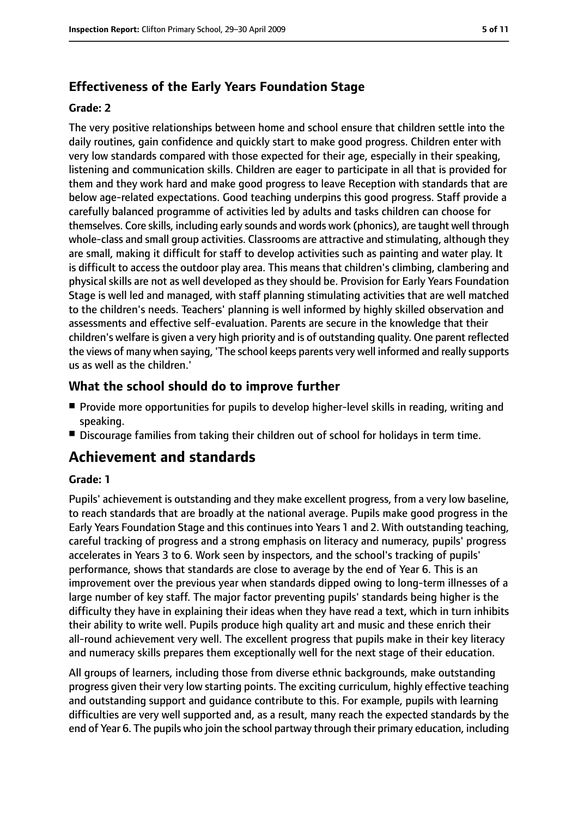# **Effectiveness of the Early Years Foundation Stage**

#### **Grade: 2**

The very positive relationships between home and school ensure that children settle into the daily routines, gain confidence and quickly start to make good progress. Children enter with very low standards compared with those expected for their age, especially in their speaking, listening and communication skills. Children are eager to participate in all that is provided for them and they work hard and make good progress to leave Reception with standards that are below age-related expectations. Good teaching underpins this good progress. Staff provide a carefully balanced programme of activities led by adults and tasks children can choose for themselves. Core skills, including early sounds and words work (phonics), are taught well through whole-class and small group activities. Classrooms are attractive and stimulating, although they are small, making it difficult for staff to develop activities such as painting and water play. It is difficult to access the outdoor play area. This means that children's climbing, clambering and physical skills are not as well developed as they should be. Provision for Early Years Foundation Stage is well led and managed, with staff planning stimulating activities that are well matched to the children's needs. Teachers' planning is well informed by highly skilled observation and assessments and effective self-evaluation. Parents are secure in the knowledge that their children's welfare is given a very high priority and is of outstanding quality. One parent reflected the views of many when saying, 'The school keeps parents very well informed and really supports us as well as the children.'

## **What the school should do to improve further**

- Provide more opportunities for pupils to develop higher-level skills in reading, writing and speaking.
- Discourage families from taking their children out of school for holidays in term time.

# **Achievement and standards**

#### **Grade: 1**

Pupils' achievement is outstanding and they make excellent progress, from a very low baseline, to reach standards that are broadly at the national average. Pupils make good progress in the Early Years Foundation Stage and this continues into Years 1 and 2. With outstanding teaching, careful tracking of progress and a strong emphasis on literacy and numeracy, pupils' progress accelerates in Years 3 to 6. Work seen by inspectors, and the school's tracking of pupils' performance, shows that standards are close to average by the end of Year 6. This is an improvement over the previous year when standards dipped owing to long-term illnesses of a large number of key staff. The major factor preventing pupils' standards being higher is the difficulty they have in explaining their ideas when they have read a text, which in turn inhibits their ability to write well. Pupils produce high quality art and music and these enrich their all-round achievement very well. The excellent progress that pupils make in their key literacy and numeracy skills prepares them exceptionally well for the next stage of their education.

All groups of learners, including those from diverse ethnic backgrounds, make outstanding progress given their very low starting points. The exciting curriculum, highly effective teaching and outstanding support and guidance contribute to this. For example, pupils with learning difficulties are very well supported and, as a result, many reach the expected standards by the end of Year 6. The pupils who join the school partway through their primary education, including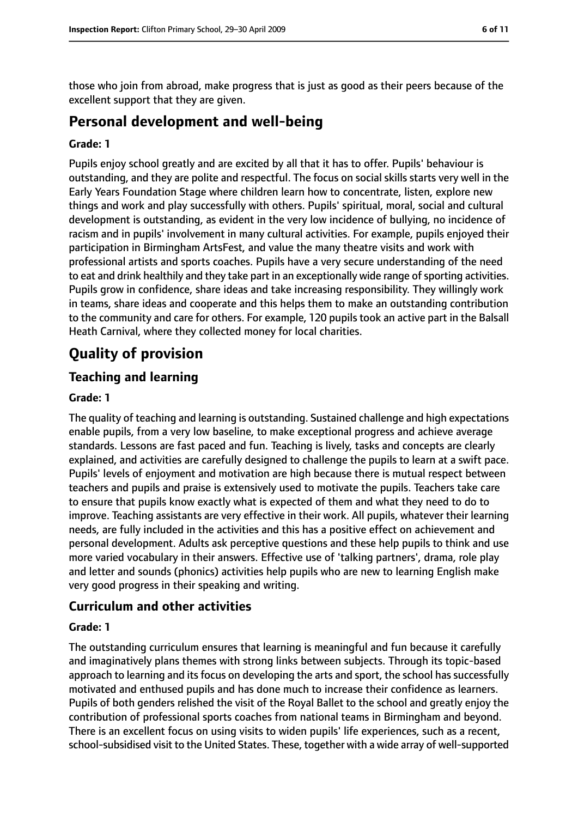those who join from abroad, make progress that is just as good as their peers because of the excellent support that they are given.

# **Personal development and well-being**

#### **Grade: 1**

Pupils enjoy school greatly and are excited by all that it has to offer. Pupils' behaviour is outstanding, and they are polite and respectful. The focus on social skills starts very well in the Early Years Foundation Stage where children learn how to concentrate, listen, explore new things and work and play successfully with others. Pupils' spiritual, moral, social and cultural development is outstanding, as evident in the very low incidence of bullying, no incidence of racism and in pupils' involvement in many cultural activities. For example, pupils enjoyed their participation in Birmingham ArtsFest, and value the many theatre visits and work with professional artists and sports coaches. Pupils have a very secure understanding of the need to eat and drink healthily and they take part in an exceptionally wide range of sporting activities. Pupils grow in confidence, share ideas and take increasing responsibility. They willingly work in teams, share ideas and cooperate and this helps them to make an outstanding contribution to the community and care for others. For example, 120 pupils took an active part in the Balsall Heath Carnival, where they collected money for local charities.

# **Quality of provision**

## **Teaching and learning**

#### **Grade: 1**

The quality of teaching and learning is outstanding. Sustained challenge and high expectations enable pupils, from a very low baseline, to make exceptional progress and achieve average standards. Lessons are fast paced and fun. Teaching is lively, tasks and concepts are clearly explained, and activities are carefully designed to challenge the pupils to learn at a swift pace. Pupils' levels of enjoyment and motivation are high because there is mutual respect between teachers and pupils and praise is extensively used to motivate the pupils. Teachers take care to ensure that pupils know exactly what is expected of them and what they need to do to improve. Teaching assistants are very effective in their work. All pupils, whatever their learning needs, are fully included in the activities and this has a positive effect on achievement and personal development. Adults ask perceptive questions and these help pupils to think and use more varied vocabulary in their answers. Effective use of 'talking partners', drama, role play and letter and sounds (phonics) activities help pupils who are new to learning English make very good progress in their speaking and writing.

#### **Curriculum and other activities**

#### **Grade: 1**

The outstanding curriculum ensures that learning is meaningful and fun because it carefully and imaginatively plans themes with strong links between subjects. Through its topic-based approach to learning and its focus on developing the arts and sport, the school has successfully motivated and enthused pupils and has done much to increase their confidence as learners. Pupils of both genders relished the visit of the Royal Ballet to the school and greatly enjoy the contribution of professional sports coaches from national teams in Birmingham and beyond. There is an excellent focus on using visits to widen pupils' life experiences, such as a recent, school-subsidised visit to the United States. These, together with a wide array of well-supported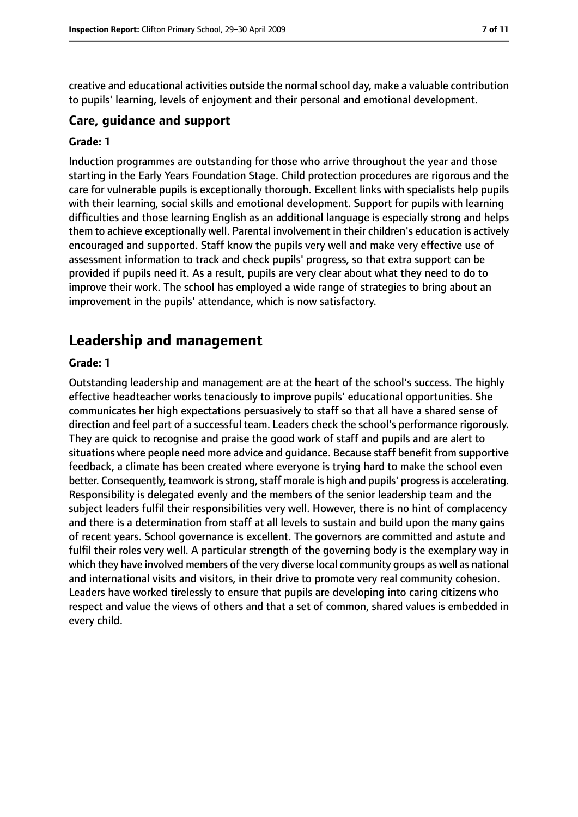creative and educational activities outside the normal school day, make a valuable contribution to pupils' learning, levels of enjoyment and their personal and emotional development.

#### **Care, guidance and support**

#### **Grade: 1**

Induction programmes are outstanding for those who arrive throughout the year and those starting in the Early Years Foundation Stage. Child protection procedures are rigorous and the care for vulnerable pupils is exceptionally thorough. Excellent links with specialists help pupils with their learning, social skills and emotional development. Support for pupils with learning difficulties and those learning English as an additional language is especially strong and helps them to achieve exceptionally well. Parental involvement in their children's education is actively encouraged and supported. Staff know the pupils very well and make very effective use of assessment information to track and check pupils' progress, so that extra support can be provided if pupils need it. As a result, pupils are very clear about what they need to do to improve their work. The school has employed a wide range of strategies to bring about an improvement in the pupils' attendance, which is now satisfactory.

# **Leadership and management**

#### **Grade: 1**

Outstanding leadership and management are at the heart of the school's success. The highly effective headteacher works tenaciously to improve pupils' educational opportunities. She communicates her high expectations persuasively to staff so that all have a shared sense of direction and feel part of a successful team. Leaders check the school's performance rigorously. They are quick to recognise and praise the good work of staff and pupils and are alert to situations where people need more advice and guidance. Because staff benefit from supportive feedback, a climate has been created where everyone is trying hard to make the school even better. Consequently, teamwork is strong, staff morale is high and pupils' progress is accelerating. Responsibility is delegated evenly and the members of the senior leadership team and the subject leaders fulfil their responsibilities very well. However, there is no hint of complacency and there is a determination from staff at all levels to sustain and build upon the many gains of recent years. School governance is excellent. The governors are committed and astute and fulfil their roles very well. A particular strength of the governing body is the exemplary way in which they have involved members of the very diverse local community groups as well as national and international visits and visitors, in their drive to promote very real community cohesion. Leaders have worked tirelessly to ensure that pupils are developing into caring citizens who respect and value the views of others and that a set of common, shared values is embedded in every child.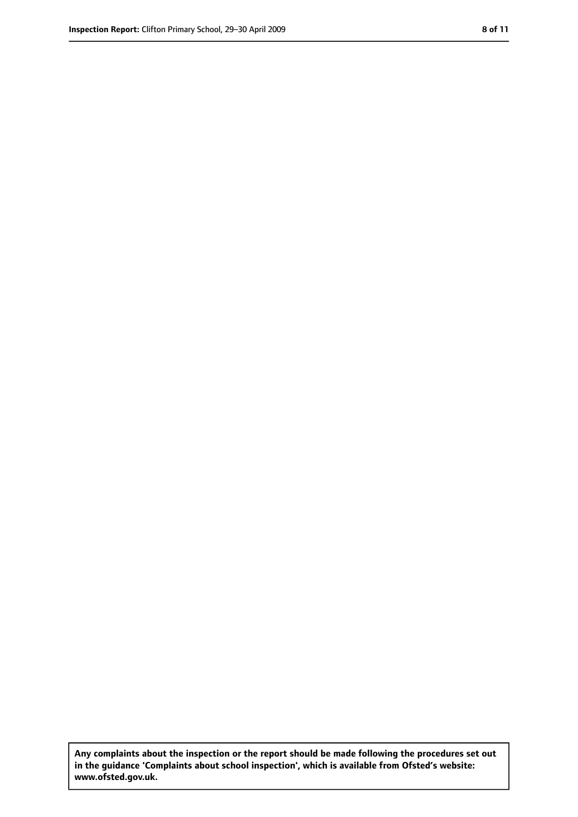**Any complaints about the inspection or the report should be made following the procedures set out in the guidance 'Complaints about school inspection', which is available from Ofsted's website: www.ofsted.gov.uk.**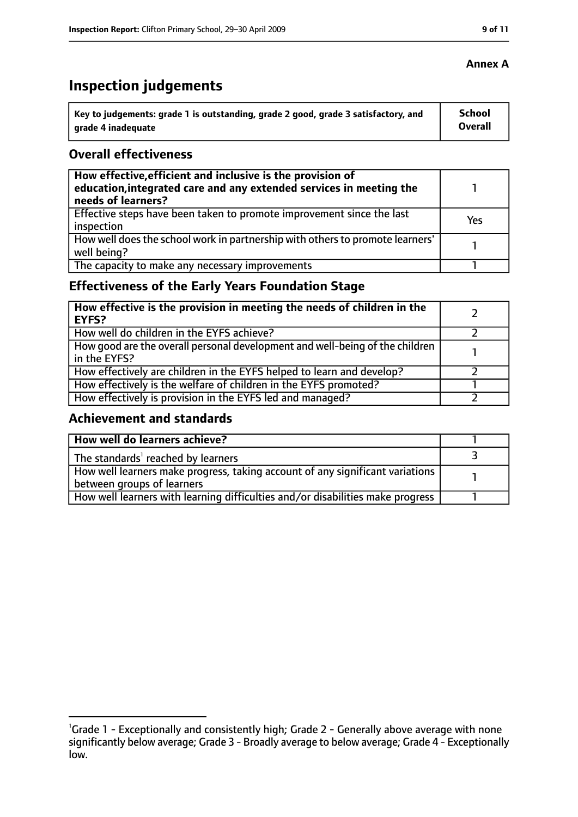# **Inspection judgements**

| ˈ Key to judgements: grade 1 is outstanding, grade 2 good, grade 3 satisfactory, and | <b>School</b>  |
|--------------------------------------------------------------------------------------|----------------|
| arade 4 inadequate                                                                   | <b>Overall</b> |

## **Overall effectiveness**

| How effective, efficient and inclusive is the provision of<br>education, integrated care and any extended services in meeting the<br>needs of learners? |     |
|---------------------------------------------------------------------------------------------------------------------------------------------------------|-----|
| Effective steps have been taken to promote improvement since the last<br>inspection                                                                     | Yes |
| How well does the school work in partnership with others to promote learners'<br>well being?                                                            |     |
| The capacity to make any necessary improvements                                                                                                         |     |

# **Effectiveness of the Early Years Foundation Stage**

| How effective is the provision in meeting the needs of children in the<br>l EYFS?            |  |
|----------------------------------------------------------------------------------------------|--|
| How well do children in the EYFS achieve?                                                    |  |
| How good are the overall personal development and well-being of the children<br>in the EYFS? |  |
| How effectively are children in the EYFS helped to learn and develop?                        |  |
| How effectively is the welfare of children in the EYFS promoted?                             |  |
| How effectively is provision in the EYFS led and managed?                                    |  |

#### **Achievement and standards**

| How well do learners achieve?                                                  |  |
|--------------------------------------------------------------------------------|--|
| $\vert$ The standards <sup>1</sup> reached by learners                         |  |
| How well learners make progress, taking account of any significant variations  |  |
| between groups of learners                                                     |  |
| How well learners with learning difficulties and/or disabilities make progress |  |

#### **Annex A**

<sup>&</sup>lt;sup>1</sup>Grade 1 - Exceptionally and consistently high; Grade 2 - Generally above average with none significantly below average; Grade 3 - Broadly average to below average; Grade 4 - Exceptionally low.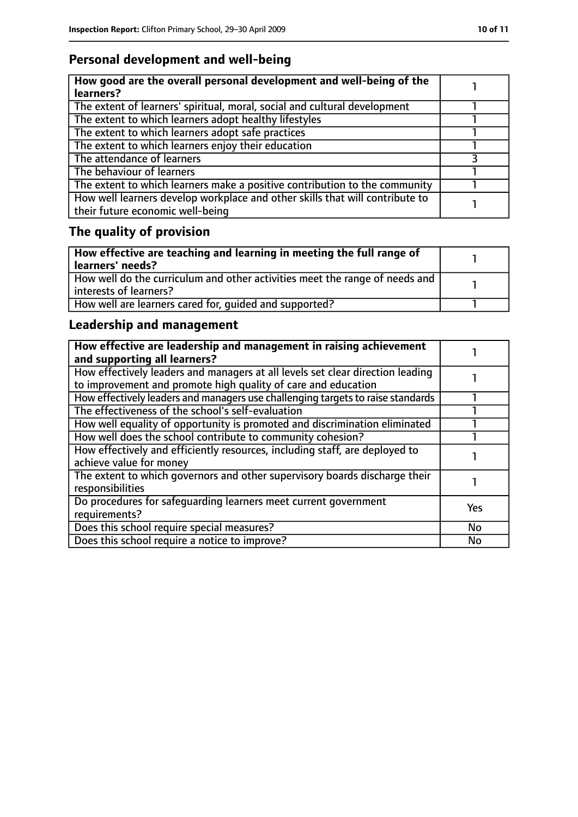# **Personal development and well-being**

| How good are the overall personal development and well-being of the<br>learners?                                 |  |
|------------------------------------------------------------------------------------------------------------------|--|
| The extent of learners' spiritual, moral, social and cultural development                                        |  |
| The extent to which learners adopt healthy lifestyles                                                            |  |
| The extent to which learners adopt safe practices                                                                |  |
| The extent to which learners enjoy their education                                                               |  |
| The attendance of learners                                                                                       |  |
| The behaviour of learners                                                                                        |  |
| The extent to which learners make a positive contribution to the community                                       |  |
| How well learners develop workplace and other skills that will contribute to<br>their future economic well-being |  |

# **The quality of provision**

| $\mid$ How effective are teaching and learning in meeting the full range of<br>  learners' needs?       |  |
|---------------------------------------------------------------------------------------------------------|--|
| How well do the curriculum and other activities meet the range of needs and<br>  interests of learners? |  |
| How well are learners cared for, quided and supported?                                                  |  |

# **Leadership and management**

| How effective are leadership and management in raising achievement<br>and supporting all learners?                                              |            |
|-------------------------------------------------------------------------------------------------------------------------------------------------|------------|
| How effectively leaders and managers at all levels set clear direction leading<br>to improvement and promote high quality of care and education |            |
| How effectively leaders and managers use challenging targets to raise standards                                                                 |            |
| The effectiveness of the school's self-evaluation                                                                                               |            |
| How well equality of opportunity is promoted and discrimination eliminated                                                                      |            |
| How well does the school contribute to community cohesion?                                                                                      |            |
| How effectively and efficiently resources, including staff, are deployed to<br>achieve value for money                                          |            |
| The extent to which governors and other supervisory boards discharge their<br>responsibilities                                                  |            |
| Do procedures for safequarding learners meet current government<br>requirements?                                                                | <b>Yes</b> |
| Does this school require special measures?                                                                                                      | <b>No</b>  |
| Does this school require a notice to improve?                                                                                                   | No         |